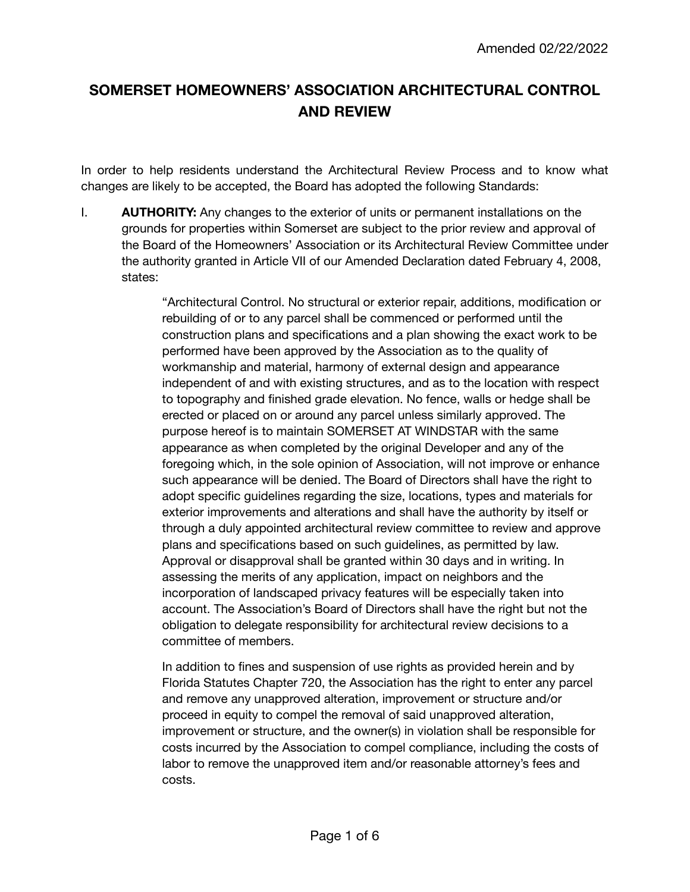# **SOMERSET HOMEOWNERS' ASSOCIATION ARCHITECTURAL CONTROL AND REVIEW**

In order to help residents understand the Architectural Review Process and to know what changes are likely to be accepted, the Board has adopted the following Standards:

I. **AUTHORITY:** Any changes to the exterior of units or permanent installations on the grounds for properties within Somerset are subject to the prior review and approval of the Board of the Homeowners' Association or its Architectural Review Committee under the authority granted in Article VII of our Amended Declaration dated February 4, 2008, states:

> "Architectural Control. No structural or exterior repair, additions, modification or rebuilding of or to any parcel shall be commenced or performed until the construction plans and specifications and a plan showing the exact work to be performed have been approved by the Association as to the quality of workmanship and material, harmony of external design and appearance independent of and with existing structures, and as to the location with respect to topography and finished grade elevation. No fence, walls or hedge shall be erected or placed on or around any parcel unless similarly approved. The purpose hereof is to maintain SOMERSET AT WINDSTAR with the same appearance as when completed by the original Developer and any of the foregoing which, in the sole opinion of Association, will not improve or enhance such appearance will be denied. The Board of Directors shall have the right to adopt specific guidelines regarding the size, locations, types and materials for exterior improvements and alterations and shall have the authority by itself or through a duly appointed architectural review committee to review and approve plans and specifications based on such guidelines, as permitted by law. Approval or disapproval shall be granted within 30 days and in writing. In assessing the merits of any application, impact on neighbors and the incorporation of landscaped privacy features will be especially taken into account. The Association's Board of Directors shall have the right but not the obligation to delegate responsibility for architectural review decisions to a committee of members.

> In addition to fines and suspension of use rights as provided herein and by Florida Statutes Chapter 720, the Association has the right to enter any parcel and remove any unapproved alteration, improvement or structure and/or proceed in equity to compel the removal of said unapproved alteration, improvement or structure, and the owner(s) in violation shall be responsible for costs incurred by the Association to compel compliance, including the costs of labor to remove the unapproved item and/or reasonable attorney's fees and costs.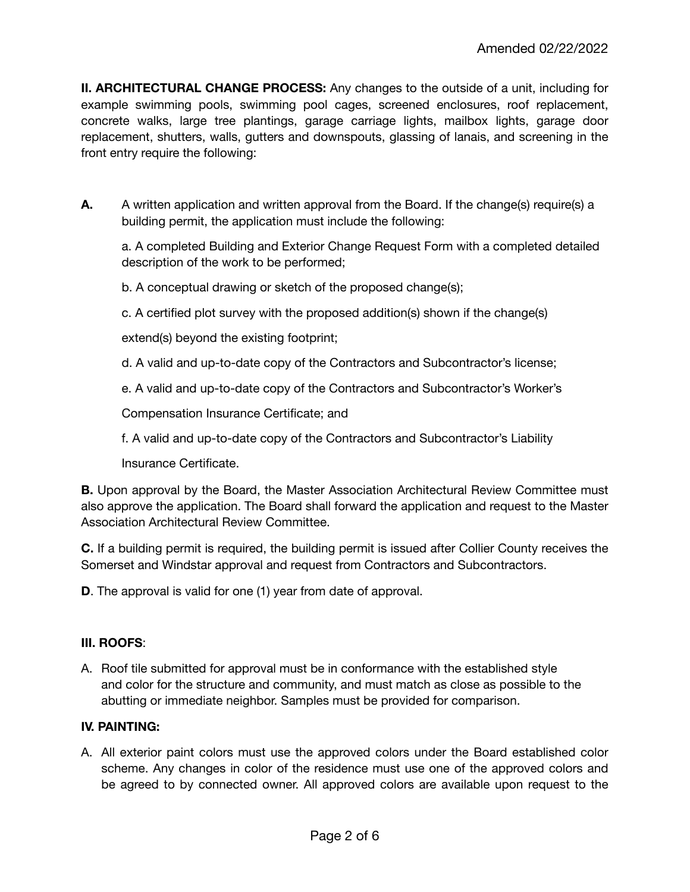**II. ARCHITECTURAL CHANGE PROCESS:** Any changes to the outside of a unit, including for example swimming pools, swimming pool cages, screened enclosures, roof replacement, concrete walks, large tree plantings, garage carriage lights, mailbox lights, garage door replacement, shutters, walls, gutters and downspouts, glassing of lanais, and screening in the front entry require the following:

**A.** A written application and written approval from the Board. If the change(s) require(s) a building permit, the application must include the following:

a. A completed Building and Exterior Change Request Form with a completed detailed description of the work to be performed;

b. A conceptual drawing or sketch of the proposed change(s);

c. A certified plot survey with the proposed addition(s) shown if the change(s)

extend(s) beyond the existing footprint;

- d. A valid and up-to-date copy of the Contractors and Subcontractor's license;
- e. A valid and up-to-date copy of the Contractors and Subcontractor's Worker's

Compensation Insurance Certificate; and

f. A valid and up-to-date copy of the Contractors and Subcontractor's Liability

Insurance Certificate.

**B.** Upon approval by the Board, the Master Association Architectural Review Committee must also approve the application. The Board shall forward the application and request to the Master Association Architectural Review Committee.

**C.** If a building permit is required, the building permit is issued after Collier County receives the Somerset and Windstar approval and request from Contractors and Subcontractors.

**D**. The approval is valid for one (1) year from date of approval.

# **III. ROOFS**:

A. Roof tile submitted for approval must be in conformance with the established style and color for the structure and community, and must match as close as possible to the abutting or immediate neighbor. Samples must be provided for comparison.

# **IV. PAINTING:**

A. All exterior paint colors must use the approved colors under the Board established color scheme. Any changes in color of the residence must use one of the approved colors and be agreed to by connected owner. All approved colors are available upon request to the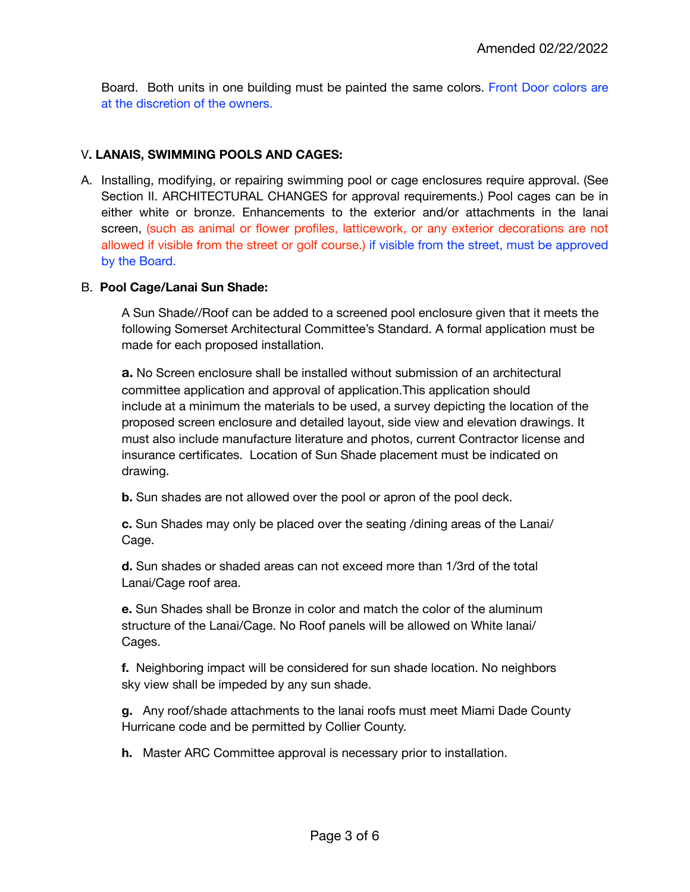Board. Both units in one building must be painted the same colors. Front Door colors are at the discretion of the owners.

## V**. LANAIS, SWIMMING POOLS AND CAGES:**

A. Installing, modifying, or repairing swimming pool or cage enclosures require approval. (See Section II. ARCHITECTURAL CHANGES for approval requirements.) Pool cages can be in either white or bronze. Enhancements to the exterior and/or attachments in the lanai screen, (such as animal or flower profiles, latticework, or any exterior decorations are not allowed if visible from the street or golf course.) if visible from the street, must be approved by the Board.

#### B. **Pool Cage/Lanai Sun Shade:**

A Sun Shade//Roof can be added to a screened pool enclosure given that it meets the following Somerset Architectural Committee's Standard. A formal application must be made for each proposed installation.

**a.** No Screen enclosure shall be installed without submission of an architectural committee application and approval of application.This application should include at a minimum the materials to be used, a survey depicting the location of the proposed screen enclosure and detailed layout, side view and elevation drawings. It must also include manufacture literature and photos, current Contractor license and insurance certificates. Location of Sun Shade placement must be indicated on drawing.

**b.** Sun shades are not allowed over the pool or apron of the pool deck.

**c.** Sun Shades may only be placed over the seating /dining areas of the Lanai/ Cage.

**d.** Sun shades or shaded areas can not exceed more than 1/3rd of the total Lanai/Cage roof area.

**e.** Sun Shades shall be Bronze in color and match the color of the aluminum structure of the Lanai/Cage. No Roof panels will be allowed on White lanai/ Cages.

**f.** Neighboring impact will be considered for sun shade location. No neighbors sky view shall be impeded by any sun shade.

**g.** Any roof/shade attachments to the lanai roofs must meet Miami Dade County Hurricane code and be permitted by Collier County.

**h.** Master ARC Committee approval is necessary prior to installation.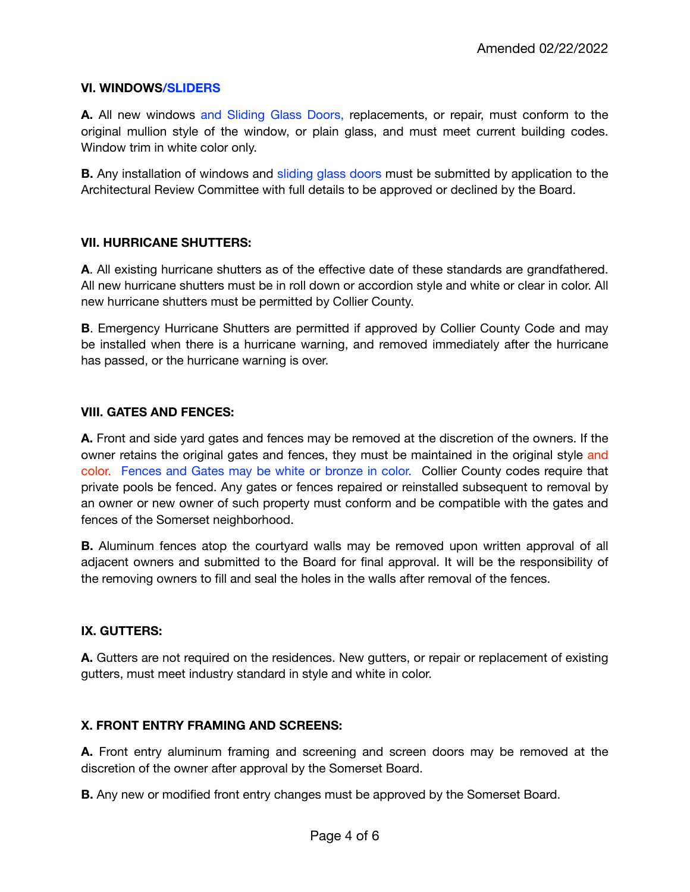#### **VI. WINDOWS/SLIDERS**

**A.** All new windows and Sliding Glass Doors, replacements, or repair, must conform to the original mullion style of the window, or plain glass, and must meet current building codes. Window trim in white color only.

**B.** Any installation of windows and sliding glass doors must be submitted by application to the Architectural Review Committee with full details to be approved or declined by the Board.

#### **VII. HURRICANE SHUTTERS:**

**A**. All existing hurricane shutters as of the effective date of these standards are grandfathered. All new hurricane shutters must be in roll down or accordion style and white or clear in color. All new hurricane shutters must be permitted by Collier County.

**B**. Emergency Hurricane Shutters are permitted if approved by Collier County Code and may be installed when there is a hurricane warning, and removed immediately after the hurricane has passed, or the hurricane warning is over.

#### **VIII. GATES AND FENCES:**

**A.** Front and side yard gates and fences may be removed at the discretion of the owners. If the owner retains the original gates and fences, they must be maintained in the original style and color. Fences and Gates may be white or bronze in color. Collier County codes require that private pools be fenced. Any gates or fences repaired or reinstalled subsequent to removal by an owner or new owner of such property must conform and be compatible with the gates and fences of the Somerset neighborhood.

**B.** Aluminum fences atop the courtyard walls may be removed upon written approval of all adjacent owners and submitted to the Board for final approval. It will be the responsibility of the removing owners to fill and seal the holes in the walls after removal of the fences.

#### **IX. GUTTERS:**

**A.** Gutters are not required on the residences. New gutters, or repair or replacement of existing gutters, must meet industry standard in style and white in color.

#### **X. FRONT ENTRY FRAMING AND SCREENS:**

**A.** Front entry aluminum framing and screening and screen doors may be removed at the discretion of the owner after approval by the Somerset Board.

**B.** Any new or modified front entry changes must be approved by the Somerset Board.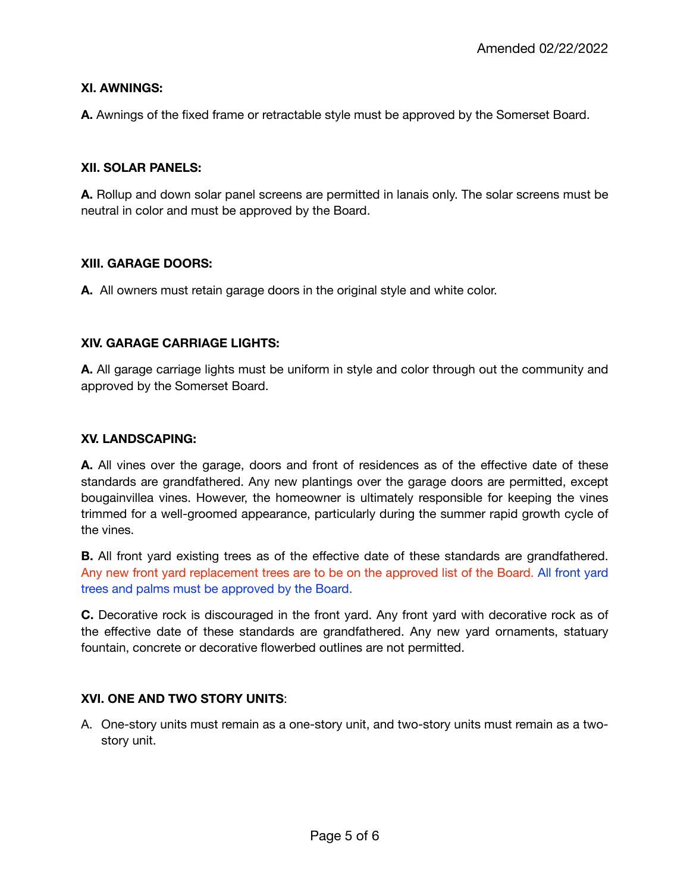#### **XI. AWNINGS:**

**A.** Awnings of the fixed frame or retractable style must be approved by the Somerset Board.

#### **XII. SOLAR PANELS:**

**A.** Rollup and down solar panel screens are permitted in lanais only. The solar screens must be neutral in color and must be approved by the Board.

#### **XIII. GARAGE DOORS:**

**A.** All owners must retain garage doors in the original style and white color.

#### **XIV. GARAGE CARRIAGE LIGHTS:**

**A.** All garage carriage lights must be uniform in style and color through out the community and approved by the Somerset Board.

#### **XV. LANDSCAPING:**

**A.** All vines over the garage, doors and front of residences as of the effective date of these standards are grandfathered. Any new plantings over the garage doors are permitted, except bougainvillea vines. However, the homeowner is ultimately responsible for keeping the vines trimmed for a well-groomed appearance, particularly during the summer rapid growth cycle of the vines.

**B.** All front yard existing trees as of the effective date of these standards are grandfathered. Any new front yard replacement trees are to be on the approved list of the Board. All front yard trees and palms must be approved by the Board.

**C.** Decorative rock is discouraged in the front yard. Any front yard with decorative rock as of the effective date of these standards are grandfathered. Any new yard ornaments, statuary fountain, concrete or decorative flowerbed outlines are not permitted.

#### **XVI. ONE AND TWO STORY UNITS**:

A. One-story units must remain as a one-story unit, and two-story units must remain as a twostory unit.